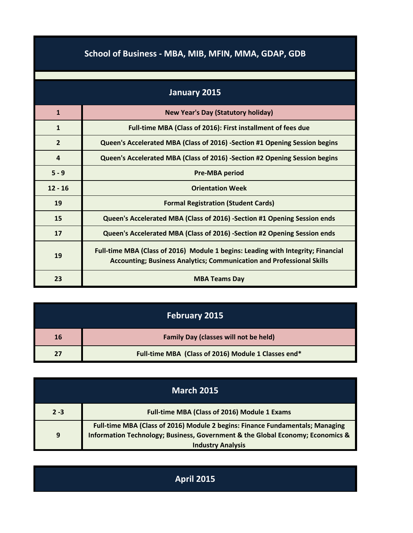| School of Business - MBA, MIB, MFIN, MMA, GDAP, GDB |  |  |  |
|-----------------------------------------------------|--|--|--|
|                                                     |  |  |  |

| January 2015   |                                                                                                                                                                  |  |
|----------------|------------------------------------------------------------------------------------------------------------------------------------------------------------------|--|
| $\mathbf{1}$   | <b>New Year's Day (Statutory holiday)</b>                                                                                                                        |  |
| $\mathbf{1}$   | Full-time MBA (Class of 2016): First installment of fees due                                                                                                     |  |
| $\overline{2}$ | Queen's Accelerated MBA (Class of 2016) -Section #1 Opening Session begins                                                                                       |  |
| 4              | Queen's Accelerated MBA (Class of 2016) -Section #2 Opening Session begins                                                                                       |  |
| $5 - 9$        | <b>Pre-MBA period</b>                                                                                                                                            |  |
| $12 - 16$      | <b>Orientation Week</b>                                                                                                                                          |  |
| 19             | <b>Formal Registration (Student Cards)</b>                                                                                                                       |  |
| 15             | Queen's Accelerated MBA (Class of 2016) -Section #1 Opening Session ends                                                                                         |  |
| 17             | Queen's Accelerated MBA (Class of 2016) -Section #2 Opening Session ends                                                                                         |  |
| 19             | Full-time MBA (Class of 2016) Module 1 begins: Leading with Integrity; Financial<br><b>Accounting; Business Analytics; Communication and Professional Skills</b> |  |
| 23             | <b>MBA Teams Day</b>                                                                                                                                             |  |

|    | <b>February 2015</b>                                |
|----|-----------------------------------------------------|
| 16 | <b>Family Day (classes will not be held)</b>        |
|    | Full-time MBA (Class of 2016) Module 1 Classes end* |

|         | <b>March 2015</b>                                                                                                                                                                           |
|---------|---------------------------------------------------------------------------------------------------------------------------------------------------------------------------------------------|
| $2 - 3$ | <b>Full-time MBA (Class of 2016) Module 1 Exams</b>                                                                                                                                         |
| 9       | Full-time MBA (Class of 2016) Module 2 begins: Finance Fundamentals; Managing<br>Information Technology; Business, Government & the Global Economy; Economics &<br><b>Industry Analysis</b> |

| <b>April 2015</b> |
|-------------------|
|-------------------|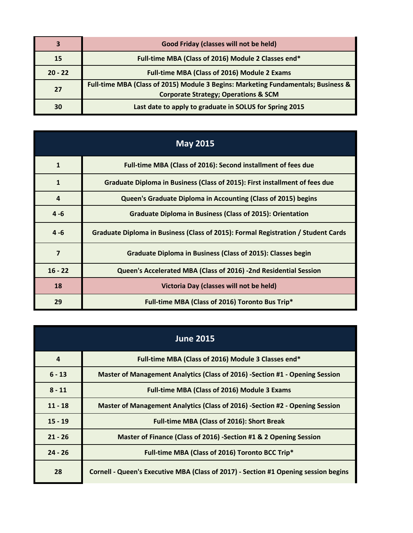| 3         | Good Friday (classes will not be held)                                                                                               |
|-----------|--------------------------------------------------------------------------------------------------------------------------------------|
| 15        | Full-time MBA (Class of 2016) Module 2 Classes end*                                                                                  |
| $20 - 22$ | <b>Full-time MBA (Class of 2016) Module 2 Exams</b>                                                                                  |
| 27        | Full-time MBA (Class of 2015) Module 3 Begins: Marketing Fundamentals; Business &<br><b>Corporate Strategy; Operations &amp; SCM</b> |
| 30        | Last date to apply to graduate in SOLUS for Spring 2015                                                                              |

| <b>May 2015</b> |                                                                                   |  |
|-----------------|-----------------------------------------------------------------------------------|--|
| $\mathbf{1}$    | Full-time MBA (Class of 2016): Second installment of fees due                     |  |
| 1               | Graduate Diploma in Business (Class of 2015): First installment of fees due       |  |
| $\overline{4}$  | Queen's Graduate Diploma in Accounting (Class of 2015) begins                     |  |
| $4 - 6$         | <b>Graduate Diploma in Business (Class of 2015): Orientation</b>                  |  |
| $4 - 6$         | Graduate Diploma in Business (Class of 2015): Formal Registration / Student Cards |  |
| $\overline{7}$  | <b>Graduate Diploma in Business (Class of 2015): Classes begin</b>                |  |
| $16 - 22$       | Queen's Accelerated MBA (Class of 2016) -2nd Residential Session                  |  |
| 18              | Victoria Day (classes will not be held)                                           |  |
| 29              | Full-time MBA (Class of 2016) Toronto Bus Trip*                                   |  |

| <b>June 2015</b> |                                                                                     |  |
|------------------|-------------------------------------------------------------------------------------|--|
| $\boldsymbol{4}$ | Full-time MBA (Class of 2016) Module 3 Classes end*                                 |  |
| $6 - 13$         | Master of Management Analytics (Class of 2016) -Section #1 - Opening Session        |  |
| $8 - 11$         | <b>Full-time MBA (Class of 2016) Module 3 Exams</b>                                 |  |
| $11 - 18$        | Master of Management Analytics (Class of 2016) -Section #2 - Opening Session        |  |
| $15 - 19$        | <b>Full-time MBA (Class of 2016): Short Break</b>                                   |  |
| $21 - 26$        | Master of Finance (Class of 2016) -Section #1 & 2 Opening Session                   |  |
| $24 - 26$        | Full-time MBA (Class of 2016) Toronto BCC Trip*                                     |  |
| 28               | Cornell - Queen's Executive MBA (Class of 2017) - Section #1 Opening session begins |  |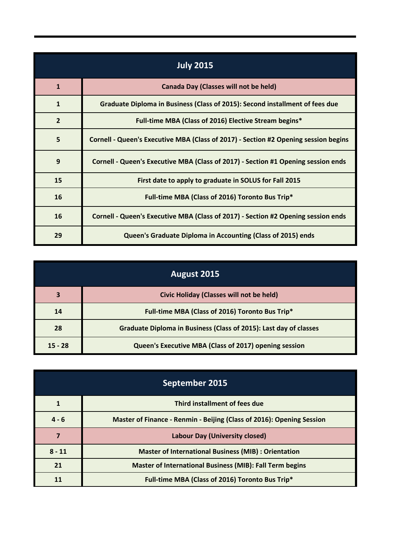| <b>July 2015</b> |                                                                                     |  |
|------------------|-------------------------------------------------------------------------------------|--|
| $\mathbf{1}$     | <b>Canada Day (Classes will not be held)</b>                                        |  |
| $\mathbf{1}$     | Graduate Diploma in Business (Class of 2015): Second installment of fees due        |  |
| $\overline{2}$   | Full-time MBA (Class of 2016) Elective Stream begins*                               |  |
| 5                | Cornell - Queen's Executive MBA (Class of 2017) - Section #2 Opening session begins |  |
| 9                | Cornell - Queen's Executive MBA (Class of 2017) - Section #1 Opening session ends   |  |
| 15               | First date to apply to graduate in SOLUS for Fall 2015                              |  |
| 16               | Full-time MBA (Class of 2016) Toronto Bus Trip*                                     |  |
| 16               | Cornell - Queen's Executive MBA (Class of 2017) - Section #2 Opening session ends   |  |
| 29               | Queen's Graduate Diploma in Accounting (Class of 2015) ends                         |  |

|           | August 2015                                                       |
|-----------|-------------------------------------------------------------------|
| 3         | Civic Holiday (Classes will not be held)                          |
| 14        | Full-time MBA (Class of 2016) Toronto Bus Trip*                   |
| 28        | Graduate Diploma in Business (Class of 2015): Last day of classes |
| $15 - 28$ | Queen's Executive MBA (Class of 2017) opening session             |

| September 2015 |                                                                       |  |
|----------------|-----------------------------------------------------------------------|--|
|                | Third installment of fees due                                         |  |
| $4 - 6$        | Master of Finance - Renmin - Beijing (Class of 2016): Opening Session |  |
|                | Labour Day (University closed)                                        |  |
| $8 - 11$       | <b>Master of International Business (MIB) : Orientation</b>           |  |
| 21             | <b>Master of International Business (MIB): Fall Term begins</b>       |  |
| 11             | Full-time MBA (Class of 2016) Toronto Bus Trip*                       |  |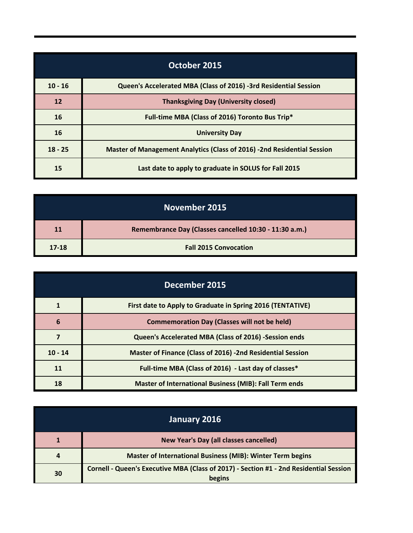|           | October 2015                                                            |
|-----------|-------------------------------------------------------------------------|
| $10 - 16$ | Queen's Accelerated MBA (Class of 2016) -3rd Residential Session        |
| 12        | <b>Thanksgiving Day (University closed)</b>                             |
| 16        | Full-time MBA (Class of 2016) Toronto Bus Trip*                         |
| 16        | <b>University Day</b>                                                   |
| $18 - 25$ | Master of Management Analytics (Class of 2016) -2nd Residential Session |
| 15        | Last date to apply to graduate in SOLUS for Fall 2015                   |

| November 2015 |                                                        |
|---------------|--------------------------------------------------------|
| 11            | Remembrance Day (Classes cancelled 10:30 - 11:30 a.m.) |
| $17-18$       | <b>Fall 2015 Convocation</b>                           |

| December 2015 |                                                                   |
|---------------|-------------------------------------------------------------------|
|               | First date to Apply to Graduate in Spring 2016 (TENTATIVE)        |
| 6             | <b>Commemoration Day (Classes will not be held)</b>               |
|               | Queen's Accelerated MBA (Class of 2016) -Session ends             |
| $10 - 14$     | <b>Master of Finance (Class of 2016) -2nd Residential Session</b> |
| 11            | Full-time MBA (Class of 2016) - Last day of classes*              |
| 18            | <b>Master of International Business (MIB): Fall Term ends</b>     |

| January 2016 |                                                                                                  |
|--------------|--------------------------------------------------------------------------------------------------|
|              | <b>New Year's Day (all classes cancelled)</b>                                                    |
|              | <b>Master of International Business (MIB): Winter Term begins</b>                                |
| 30           | Cornell - Queen's Executive MBA (Class of 2017) - Section #1 - 2nd Residential Session<br>begins |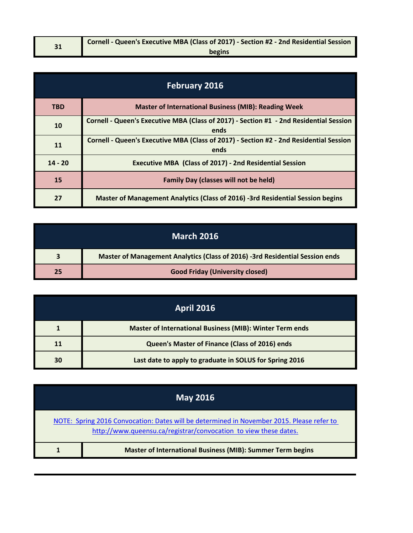| 21 | Cornell - Queen's Executive MBA (Class of 2017) - Section #2 - 2nd Residential Session |
|----|----------------------------------------------------------------------------------------|
|    | begins                                                                                 |

| <b>February 2016</b> |                                                                                                |
|----------------------|------------------------------------------------------------------------------------------------|
| <b>TBD</b>           | <b>Master of International Business (MIB): Reading Week</b>                                    |
| 10                   | Cornell - Queen's Executive MBA (Class of 2017) - Section #1 - 2nd Residential Session<br>ends |
| 11                   | Cornell - Queen's Executive MBA (Class of 2017) - Section #2 - 2nd Residential Session<br>ends |
| $14 - 20$            | <b>Executive MBA (Class of 2017) - 2nd Residential Session</b>                                 |
| 15                   | <b>Family Day (classes will not be held)</b>                                                   |
| 27                   | Master of Management Analytics (Class of 2016) -3rd Residential Session begins                 |

| <b>March 2016</b> |                                                                              |
|-------------------|------------------------------------------------------------------------------|
|                   | Master of Management Analytics (Class of 2016) -3rd Residential Session ends |
| 25                | <b>Good Friday (University closed)</b>                                       |

|    | <b>April 2016</b>                                               |
|----|-----------------------------------------------------------------|
|    | <b>Master of International Business (MIB): Winter Term ends</b> |
|    | Queen's Master of Finance (Class of 2016) ends                  |
| 30 | Last date to apply to graduate in SOLUS for Spring 2016         |

| <u> May 2016 </u> |                                                                                                                                                               |  |
|-------------------|---------------------------------------------------------------------------------------------------------------------------------------------------------------|--|
|                   | NOTE: Spring 2016 Convocation: Dates will be determined in November 2015. Please refer to<br>http://www.queensu.ca/registrar/convocation to view these dates. |  |
|                   | <b>Master of International Business (MIB): Summer Term begins</b>                                                                                             |  |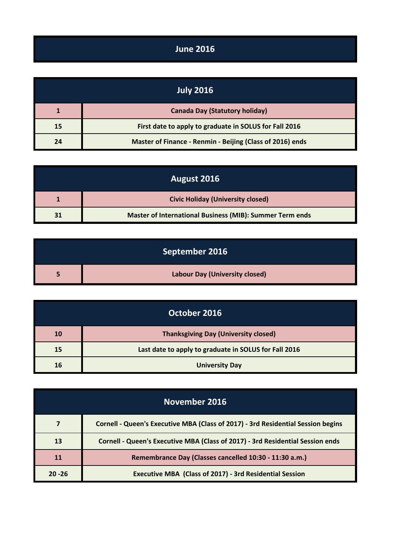## **June 2016**

| <b>July 2016</b> |                                                           |
|------------------|-----------------------------------------------------------|
|                  | <b>Canada Day (Statutory holiday)</b>                     |
| 15               | First date to apply to graduate in SOLUS for Fall 2016    |
| 24               | Master of Finance - Renmin - Beijing (Class of 2016) ends |

| August 2016 |                                                                 |
|-------------|-----------------------------------------------------------------|
|             | <b>Civic Holiday (University closed)</b>                        |
| 31          | <b>Master of International Business (MIB): Summer Term ends</b> |

| September 2016 |                                       |
|----------------|---------------------------------------|
|                | <b>Labour Day (University closed)</b> |

|           | October 2016                                          |
|-----------|-------------------------------------------------------|
| <b>10</b> | <b>Thanksgiving Day (University closed)</b>           |
| 15        | Last date to apply to graduate in SOLUS for Fall 2016 |
| 16        | <b>University Day</b>                                 |

| November 2016 |                                                                                  |
|---------------|----------------------------------------------------------------------------------|
|               | Cornell - Queen's Executive MBA (Class of 2017) - 3rd Residential Session begins |
| 13            | Cornell - Queen's Executive MBA (Class of 2017) - 3rd Residential Session ends   |
| 11            | Remembrance Day (Classes cancelled 10:30 - 11:30 a.m.)                           |
| $20 - 26$     | <b>Executive MBA (Class of 2017) - 3rd Residential Session</b>                   |